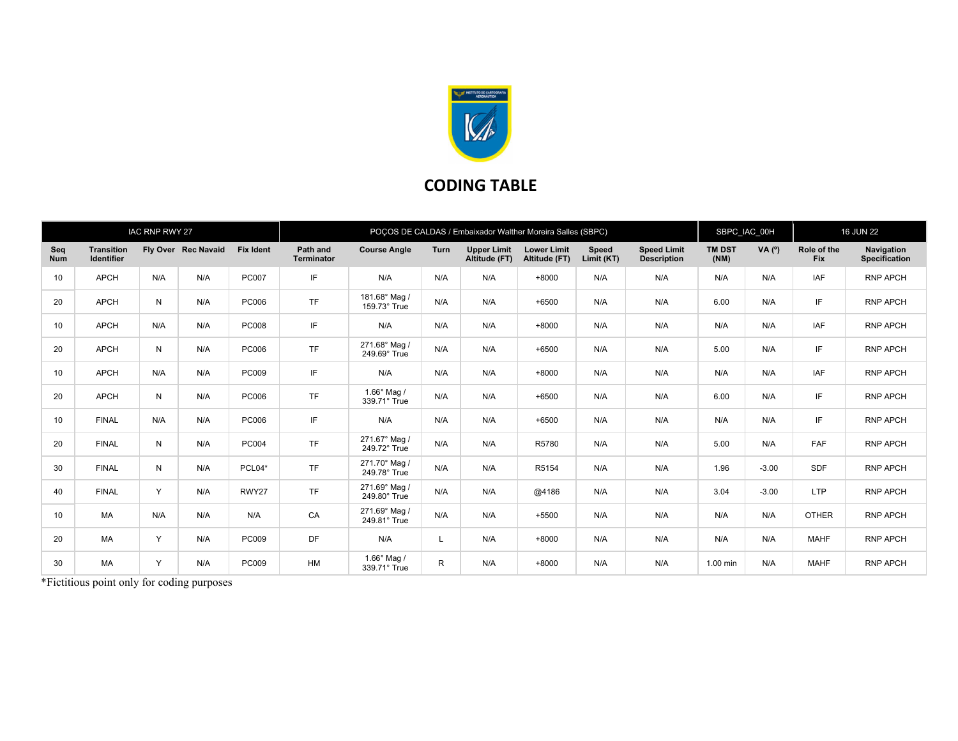

## CODING TABLE

|                   | <b>IAC RNP RWY 27</b>                  |              |                     |                  | POCOS DE CALDAS / Embaixador Walther Moreira Salles (SBPC) |                                      |              |                                     |                                     |                     |                                          |                       | SBPC IAC 00H |                           | <b>16 JUN 22</b>                   |  |
|-------------------|----------------------------------------|--------------|---------------------|------------------|------------------------------------------------------------|--------------------------------------|--------------|-------------------------------------|-------------------------------------|---------------------|------------------------------------------|-----------------------|--------------|---------------------------|------------------------------------|--|
| Seq<br><b>Num</b> | <b>Transition</b><br><b>Identifier</b> |              | Fly Over Rec Navaid | <b>Fix Ident</b> | Path and<br><b>Terminator</b>                              | <b>Course Angle</b>                  | Turn         | <b>Upper Limit</b><br>Altitude (FT) | <b>Lower Limit</b><br>Altitude (FT) | Speed<br>Limit (KT) | <b>Speed Limit</b><br><b>Description</b> | <b>TM DST</b><br>(NM) | VA (°)       | Role of the<br><b>Fix</b> | Navigation<br><b>Specification</b> |  |
| 10                | <b>APCH</b>                            | N/A          | N/A                 | <b>PC007</b>     | IF                                                         | N/A                                  | N/A          | N/A                                 | $+8000$                             | N/A                 | N/A                                      | N/A                   | N/A          | <b>IAF</b>                | <b>RNP APCH</b>                    |  |
| 20                | <b>APCH</b>                            | N            | N/A                 | PC006            | <b>TF</b>                                                  | 181.68° Mag /<br>159.73° True        | N/A          | N/A                                 | $+6500$                             | N/A                 | N/A                                      | 6.00                  | N/A          | IF                        | <b>RNP APCH</b>                    |  |
| 10                | <b>APCH</b>                            | N/A          | N/A                 | <b>PC008</b>     | IF                                                         | N/A                                  | N/A          | N/A                                 | $+8000$                             | N/A                 | N/A                                      | N/A                   | N/A          | <b>IAF</b>                | <b>RNP APCH</b>                    |  |
| 20                | <b>APCH</b>                            | N            | N/A                 | PC006            | <b>TF</b>                                                  | 271.68° Mag /<br>249.69° True        | N/A          | N/A                                 | $+6500$                             | N/A                 | N/A                                      | 5.00                  | N/A          | IF                        | <b>RNP APCH</b>                    |  |
| 10                | <b>APCH</b>                            | N/A          | N/A                 | PC009            | IF                                                         | N/A                                  | N/A          | N/A                                 | $+8000$                             | N/A                 | N/A                                      | N/A                   | N/A          | <b>IAF</b>                | <b>RNP APCH</b>                    |  |
| 20                | <b>APCH</b>                            | N            | N/A                 | PC006            | <b>TF</b>                                                  | $1.66^\circ$ Mag /<br>339.71° True   | N/A          | N/A                                 | $+6500$                             | N/A                 | N/A                                      | 6.00                  | N/A          | IF                        | <b>RNP APCH</b>                    |  |
| 10                | <b>FINAL</b>                           | N/A          | N/A                 | PC006            | IF                                                         | N/A                                  | N/A          | N/A                                 | $+6500$                             | N/A                 | N/A                                      | N/A                   | N/A          | IF                        | <b>RNP APCH</b>                    |  |
| 20                | <b>FINAL</b>                           | N            | N/A                 | <b>PC004</b>     | <b>TF</b>                                                  | 271.67° Mag /<br>249.72° True        | N/A          | N/A                                 | R5780                               | N/A                 | N/A                                      | 5.00                  | N/A          | <b>FAF</b>                | <b>RNP APCH</b>                    |  |
| 30                | <b>FINAL</b>                           | N            | N/A                 | PCL04*           | <b>TF</b>                                                  | 271.70° Mag /<br>249.78° True        | N/A          | N/A                                 | R5154                               | N/A                 | N/A                                      | 1.96                  | $-3.00$      | SDF                       | <b>RNP APCH</b>                    |  |
| 40                | <b>FINAL</b>                           | $\mathsf{Y}$ | N/A                 | RWY27            | <b>TF</b>                                                  | 271.69° Mag /<br>249.80° True        | N/A          | N/A                                 | @4186                               | N/A                 | N/A                                      | 3.04                  | $-3.00$      | <b>LTP</b>                | <b>RNP APCH</b>                    |  |
| 10                | <b>MA</b>                              | N/A          | N/A                 | N/A              | CA                                                         | 271.69° Mag /<br>249.81° True        | N/A          | N/A                                 | $+5500$                             | N/A                 | N/A                                      | N/A                   | N/A          | <b>OTHER</b>              | <b>RNP APCH</b>                    |  |
| 20                | MA                                     | Y            | N/A                 | PC009            | DF                                                         | N/A                                  | L            | N/A                                 | $+8000$                             | N/A                 | N/A                                      | N/A                   | N/A          | <b>MAHF</b>               | <b>RNP APCH</b>                    |  |
| 30                | MA                                     | Y            | N/A                 | <b>PC009</b>     | <b>HM</b>                                                  | $1.66^{\circ}$ Mag /<br>339.71° True | $\mathsf{R}$ | N/A                                 | $+8000$                             | N/A                 | N/A                                      | 1.00 min              | N/A          | <b>MAHF</b>               | <b>RNP APCH</b>                    |  |

\*Fictitious point only for coding purposes